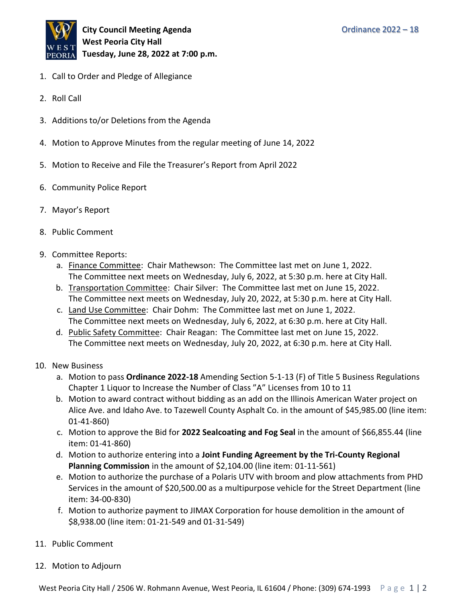

- 1. Call to Order and Pledge of Allegiance
- 2. Roll Call
- 3. Additions to/or Deletions from the Agenda
- 4. Motion to Approve Minutes from the regular meeting of June 14, 2022
- 5. Motion to Receive and File the Treasurer's Report from April 2022
- 6. Community Police Report
- 7. Mayor's Report
- 8. Public Comment
- 9. Committee Reports:
	- a. Finance Committee: Chair Mathewson: The Committee last met on June 1, 2022. The Committee next meets on Wednesday, July 6, 2022, at 5:30 p.m. here at City Hall.
	- b. Transportation Committee: Chair Silver: The Committee last met on June 15, 2022. The Committee next meets on Wednesday, July 20, 2022, at 5:30 p.m. here at City Hall.
	- c. Land Use Committee: Chair Dohm: The Committee last met on June 1, 2022. The Committee next meets on Wednesday, July 6, 2022, at 6:30 p.m. here at City Hall.
	- d. Public Safety Committee: Chair Reagan: The Committee last met on June 15, 2022. The Committee next meets on Wednesday, July 20, 2022, at 6:30 p.m. here at City Hall.
- 10. New Business
	- a. Motion to pass **Ordinance 2022-18** Amending Section 5-1-13 (F) of Title 5 Business Regulations Chapter 1 Liquor to Increase the Number of Class "A" Licenses from 10 to 11
	- b. Motion to award contract without bidding as an add on the Illinois American Water project on Alice Ave. and Idaho Ave. to Tazewell County Asphalt Co. in the amount of \$45,985.00 (line item: 01-41-860)
	- c. Motion to approve the Bid for **2022 Sealcoating and Fog Seal** in the amount of \$66,855.44 (line item: 01-41-860)
	- d. Motion to authorize entering into a **Joint Funding Agreement by the Tri-County Regional Planning Commission** in the amount of \$2,104.00 (line item: 01-11-561)
	- e. Motion to authorize the purchase of a Polaris UTV with broom and plow attachments from PHD Services in the amount of \$20,500.00 as a multipurpose vehicle for the Street Department (line item: 34-00-830)
	- f. Motion to authorize payment to JIMAX Corporation for house demolition in the amount of \$8,938.00 (line item: 01-21-549 and 01-31-549)
- 11. Public Comment
- 12. Motion to Adjourn